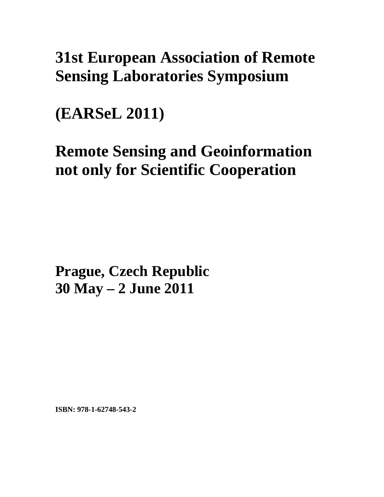## **31st European Association of Remote Sensing Laboratories Symposium**

**(EARSeL 2011)** 

# **Remote Sensing and Geoinformation not only for Scientific Cooperation**

**Prague, Czech Republic 30 May – 2 June 2011**

**ISBN: 978-1-62748-543-2**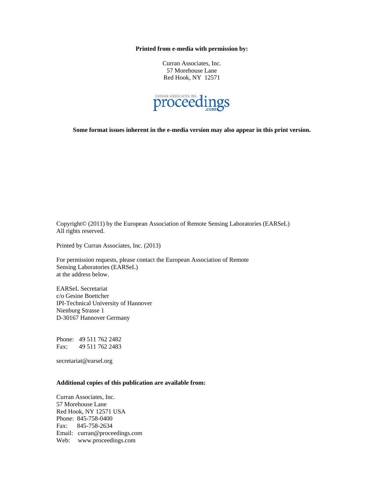**Printed from e-media with permission by:** 

Curran Associates, Inc. 57 Morehouse Lane Red Hook, NY 12571



**Some format issues inherent in the e-media version may also appear in this print version.** 

Copyright© (2011) by the European Association of Remote Sensing Laboratories (EARSeL) All rights reserved.

Printed by Curran Associates, Inc. (2013)

For permission requests, please contact the European Association of Remote Sensing Laboratories (EARSeL) at the address below.

EARSeL Secretariat c/o Gesine Boettcher IPI-Technical University of Hannover Nienburg Strasse 1 D-30167 Hannover Germany

Phone: 49 511 762 2482 Fax: 49 511 762 2483

secretariat@earsel.org

#### **Additional copies of this publication are available from:**

Curran Associates, Inc. 57 Morehouse Lane Red Hook, NY 12571 USA Phone: 845-758-0400 Fax: 845-758-2634 Email: curran@proceedings.com Web: www.proceedings.com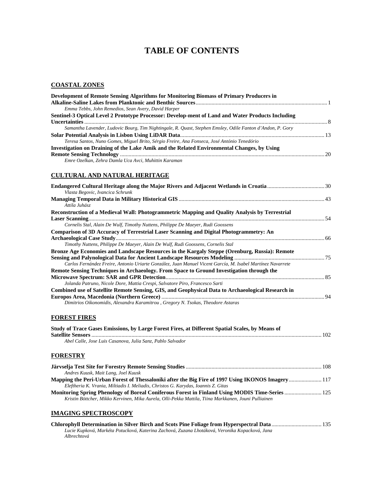### **TABLE OF CONTENTS**

#### **COASTAL ZONES**

| Development of Remote Sensing Algorithms for Monitoring Biomass of Primary Producers in                    |  |
|------------------------------------------------------------------------------------------------------------|--|
|                                                                                                            |  |
| Emma Tebbs, John Remedios, Sean Avery, David Harper                                                        |  |
| Sentinel-3 Optical Level 2 Prototype Processor: Develop-ment of Land and Water Products Including          |  |
|                                                                                                            |  |
| Samantha Lavender, Ludovic Bourg, Tim Nightingale, R. Quast, Stephen Emsley, Odile Fanton d'Andon, P. Gory |  |
|                                                                                                            |  |
| Teresa Santos, Nuno Gomes, Miguel Brito, Sérgio Freire, Ana Fonseca, José António Tenedório                |  |
| Investigation on Draining of the Lake Amik and the Related Environmental Changes, by Using                 |  |
|                                                                                                            |  |
| Emre Ozelkan, Zehra Damla Uca Avci, Muhittin Karaman                                                       |  |

#### **CULTURAL AND NATURAL HERITAGE**

| Vlasta Begovic, Ivancica Schrunk                                                                                                                                                                       |  |
|--------------------------------------------------------------------------------------------------------------------------------------------------------------------------------------------------------|--|
| Attila Juhász                                                                                                                                                                                          |  |
| Reconstruction of a Medieval Wall: Photogrammetric Mapping and Quality Analysis by Terrestrial                                                                                                         |  |
|                                                                                                                                                                                                        |  |
| Cornelis Stal, Alain De Wulf, Timothy Nuttens, Philippe De Maeyer, Rudi Goossens                                                                                                                       |  |
| Comparison of 3D Accuracy of Terrestrial Laser Scanning and Digital Photogrammetry: An                                                                                                                 |  |
| Timothy Nuttens, Philippe De Maeyer, Alain De Wulf, Rudi Goossens, Cornelis Stal                                                                                                                       |  |
| Bronze Age Economies and Landscape Resources in the Kargaly Steppe (Orenburg, Russia): Remote                                                                                                          |  |
| Carlos Fernández Freire, Antonio Uriarte González, Juan Manuel Vicent García, M. Isabel Martínez Navarrete<br>Remote Sensing Techniques in Archaeology. From Space to Ground Investigation through the |  |
|                                                                                                                                                                                                        |  |
| Jolanda Patruno, Nicole Dore, Mattia Crespi, Salvatore Piro, Francesco Sarti                                                                                                                           |  |
| Combined use of Satellite Remote Sensing, GIS, and Geophysical Data to Archaeological Research in                                                                                                      |  |
| Dimitrios Oikonomidis, Alexandra Karamitrou, Gregory N. Tsokas, Theodore Astaras                                                                                                                       |  |
| <b>FOREST FIRES</b>                                                                                                                                                                                    |  |
| Study of Trace Gases Emissions, by Large Forest Fires, at Different Spatial Scales, by Means of                                                                                                        |  |
| Abel Calle, Jose Luis Casanova, Julia Sanz, Pablo Salvador                                                                                                                                             |  |
|                                                                                                                                                                                                        |  |
| <b>FORESTRY</b>                                                                                                                                                                                        |  |
| Andres Kuusk, Mait Lang, Joel Kuusk                                                                                                                                                                    |  |
| Mapping the Peri-Urban Forest of Thessaloniki after the Big Fire of 1997 Using IKONOS Imagery 117                                                                                                      |  |

*Eleftheria K. Vrania, Miltiadis I. Meliadis, Christos G. Karydas, Ioannis Z. Gitas*  **Monitoring Spring Phenology of Boreal Coniferous Forest in Finland Using MODIS Time-Series**.......................... 125 *Kristin Böttcher, Mikko Kervinen, Mika Aurela, Olli-Pekka Mattila, Tiina Markkanen, Jouni Pulliainen* 

#### **IMAGING SPECTROSCOPY**

| Lucie Kupková, Markéta Potucková, Katerina Zachová, Zuzana Lhotáková, Veronika Kopacková, Jana |  |
|------------------------------------------------------------------------------------------------|--|
| Albrechtová                                                                                    |  |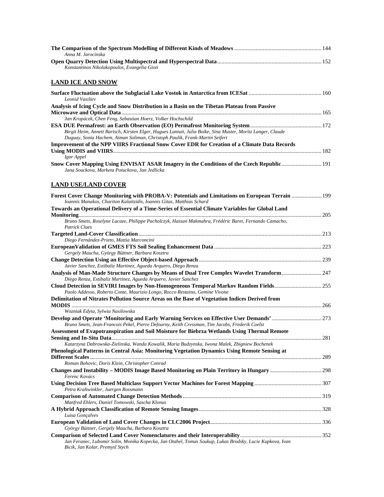| Anna M. Jarocinska                                                                                                                                                                         |  |
|--------------------------------------------------------------------------------------------------------------------------------------------------------------------------------------------|--|
| Konstantinos Nikolakopoulos, Evangelia Gioti                                                                                                                                               |  |
| <b>LAND ICE AND SNOW</b>                                                                                                                                                                   |  |
| <b>Leonid Vasiliev</b>                                                                                                                                                                     |  |
| Analysis of Icing Cycle and Snow Distribution in a Basin on the Tibetan Plateau from Passive                                                                                               |  |
| Jan Kropácek, Chen Feng, Sebastian Hoerz, Volker Hochschild                                                                                                                                |  |
| Birgit Heim, Annett Bartsch, Kirsten Elger, Hugues Lantuit, Julia Boike, Sina Muster, Moritz Langer, Claude<br>Duguay, Sonia Hachem, Aiman Soliman, Christoph Paulik, Frank-Martin Seifert |  |
| Improvement of the NPP VIIRS Fractional Snow Cover EDR for Creation of a Climate Data Records                                                                                              |  |
| Igor Appel                                                                                                                                                                                 |  |
| 191 Snow Cover Mapping Using ENVISAT ASAR Imagery in the Conditions of the Czech Republic  191<br>Jana Souckova, Marketa Potuckova, Jan Jedlicka                                           |  |
| <b>LAND USE/LAND COVER</b>                                                                                                                                                                 |  |
| Forest Cover Change Monitoring with PROBA-V: Potentials and Limitations on European Terrain  199<br>Ioannis Manakos, Chariton Kalaitzidis, Ioannis Gitas, Matthias Schard                  |  |
| Towards an Operational Delivery of a Time-Series of Essential Climate Variables for Global Land                                                                                            |  |
| Bruno Smets, Roselyne Lacaze, Philippe Pacholczyk, Hassan Makmahra, Frédéric Baret, Fernando Camacho,<br><b>Patrick Claes</b>                                                              |  |
|                                                                                                                                                                                            |  |
| Diego Fernàndez-Prieto, Mattia Marconcini                                                                                                                                                  |  |
| Gergely Maucha, György Büttner, Barbara Kosztra                                                                                                                                            |  |
|                                                                                                                                                                                            |  |
| Javier Sanchez, Estibaliz Martinez, Agueda Arquero, Diego Renza<br>Analysis of Man-Made Structure Changes by Means of Dual Tree Complex Wavelet Transform 247                              |  |
| Diego Renza, Estibaliz Martinez, Agueda Arquero, Javier Sanchez                                                                                                                            |  |
| Cloud Detection in SEVIRI Images by Non-Homogeneous Temporal Markov Random Fields255<br>Paolo Addesso, Roberto Conte, Maurizio Longo, Rocco Restaino, Gemine Vivone                        |  |
| Delimitation of Nitrates Pollution Source Areas on the Base of Vegetation Indices Derived from                                                                                             |  |
| Wozniak Edyta, Sylwia Nasilowska                                                                                                                                                           |  |
| Develop and Operate 'Monitoring and Early Warning Services on Effective User Demands'273                                                                                                   |  |
| Bruno Smets, Jean-Francois Pekel, Pierre Defourny, Keith Cressman, Tim Jacobs, Frederik Coelst                                                                                             |  |
| Assessment of Evapotranspiration and Soil Moisture for Biebrza Wetlands Using Thermal Remote                                                                                               |  |
| Katarzyna Dabrowska-Zielinska, Wanda Kowalik, Maria Budzynska, Iwona Malek, Zbigniew Bochenek                                                                                              |  |
| Phenological Patterns in Central Asia: Monitoring Vegetation Dynamics Using Remote Sensing at                                                                                              |  |
| Roman Bohovic, Doris Klein, Christopher Conrad                                                                                                                                             |  |
| Ferenc Kovács                                                                                                                                                                              |  |
| Petra Krahwinkler, Juergen Rossmann                                                                                                                                                        |  |
| Manfred Ehlers, Daniel Tomowski, Sascha Klonus                                                                                                                                             |  |
| Luisa Gonçalves                                                                                                                                                                            |  |
|                                                                                                                                                                                            |  |
| György Büttner, Gergely Maucha, Barbara Kosztra                                                                                                                                            |  |
| Jan Feranec, Lubomir Solin, Monika Kopecka, Jan Otahel, Tomas Soukup, Lukas Brodsky, Lucie Kupkova, Ivan<br>Bicik, Jan Kolar, Premysl Stych                                                |  |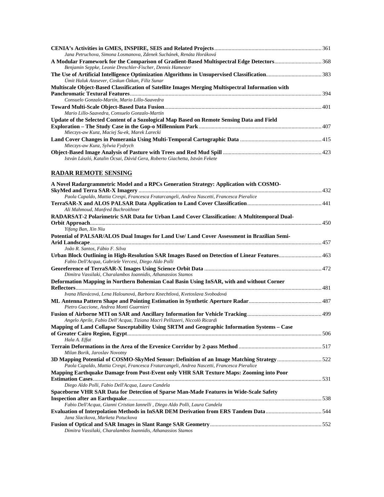| Jana Petruchova, Simona Losmanova, Zdenek Suchánek, Renáta Horáková                               |  |
|---------------------------------------------------------------------------------------------------|--|
|                                                                                                   |  |
| Benjamin Seppke, Leonie Dreschler-Fischer, Dennis Hamester                                        |  |
| Ümit Haluk Atasever, Coskun Özkan, Filiz Sunar                                                    |  |
| Multiscale Object-Based Classification of Satellite Images Merging Multispectral Information with |  |
|                                                                                                   |  |
| Consuelo Gonzalo-Martín, Mario Lillo-Saavedra                                                     |  |
|                                                                                                   |  |
| Mario Lillo-Saavedra, Consuelo Gonzalo-Martín                                                     |  |
| Update of the Selected Content of a Sozological Map Based on Remote Sensing Data and Field        |  |
|                                                                                                   |  |
| Mieczys-aw Kunz, Maciej Su-ek, Marek Larecki                                                      |  |
|                                                                                                   |  |
| Mieczys-aw Kunz, Sylwia Fydrych                                                                   |  |
| István László, Katalin Ócsai, Dávid Gera, Roberto Giachetta, István Fekete                        |  |

#### **RADAR REMOTE SENSING**

| A Novel Radargrammetric Model and a RPCs Generation Strategy: Application with COSMO-                                                                 |  |
|-------------------------------------------------------------------------------------------------------------------------------------------------------|--|
|                                                                                                                                                       |  |
| Paola Capaldo, Mattia Crespi, Francesca Fratarcangeli, Andrea Nascetti, Francesca Pieralice                                                           |  |
| Ali Mahmoud, Manfred Buchroithner                                                                                                                     |  |
| RADARSAT-2 Polarimetric SAR Data for Urban Land Cover Classification: A Multitemporal Dual-                                                           |  |
|                                                                                                                                                       |  |
| Yifang Ban, Xin Niu                                                                                                                                   |  |
| Potential of PALSAR/ALOS Dual Images for Land Use/ Land Cover Assessment in Brazilian Semi-                                                           |  |
|                                                                                                                                                       |  |
| João R. Santos, Fábio F. Silva                                                                                                                        |  |
| Urban Block Outlining in High-Resolution SAR Images Based on Detection of Linear Features 463<br>Fabio Dell'Acqua, Gabriele Vercesi, Diego Aldo Polli |  |
| Dimitra Vassilaki, Charalambos Ioannidis, Athanassios Stamos                                                                                          |  |
| Deformation Mapping in Northern Bohemian Coal Basin Using InSAR, with and without Corner                                                              |  |
|                                                                                                                                                       |  |
| Ivana Hlavácová, Lena Halounová, Barbora Knechtlová, Kvetoslava Svobodová                                                                             |  |
| Pietro Guccione, Andrea Monti Guarnieri                                                                                                               |  |
| Angelo Aprile, Fabio Dell'Acqua, Tiziana Macrì Pellizzeri, Niccolò Ricardi                                                                            |  |
| Mapping of Land Collapse Susceptability Using SRTM and Geographic Information Systems - Case                                                          |  |
|                                                                                                                                                       |  |
| Hala A. Effat                                                                                                                                         |  |
| Milan Borik, Jaroslav Novotny                                                                                                                         |  |
|                                                                                                                                                       |  |
| Paola Capaldo, Mattia Crespi, Francesca Fratarcangeli, Andrea Nascetti, Francesca Pieralice                                                           |  |
| Mapping Earthquake Damage from Post-Event only VHR SAR Texture Maps: Zooming into Poor                                                                |  |
|                                                                                                                                                       |  |
| Diego Aldo Polli, Fabio Dell'Acqua, Laura Candela                                                                                                     |  |
| Spaceborne VHR SAR Data for Detection of Sparse Man-Made Features in Wide-Scale Safety                                                                |  |
|                                                                                                                                                       |  |
| Fabio Dell'Acqua, Gianni Cristian Iannelli, Diego Aldo Polli, Laura Candela                                                                           |  |
| Jana Slacikova, Marketa Potuckova                                                                                                                     |  |
|                                                                                                                                                       |  |
| Dimitra Vassilaki, Charalambos Ioannidis, Athanassios Stamos                                                                                          |  |